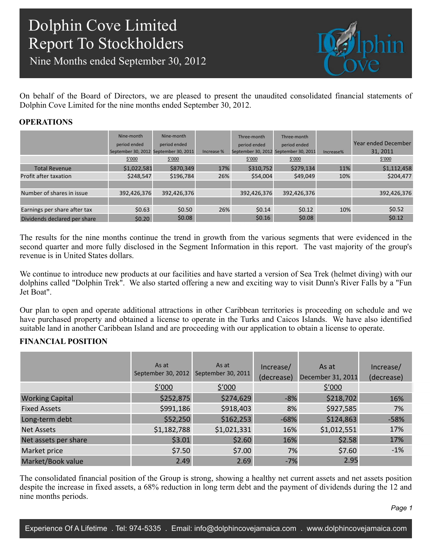Nine Months ended September 30, 2012



On behalf of the Board of Directors, we are pleased to present the unaudited consolidated financial statements of Dolphin Cove Limited for the nine months ended September 30, 2012.

### **OPERATIONS**

|                              | Nine-month<br>period ended<br>September 30, 2012 September 30, 2011<br>\$′000 | Nine-month<br>period ended<br>\$′000 | Increase % | Three-month<br>period ended<br>\$′000 | Three-month<br>period ended<br>September 30, 2012 September 30, 2011<br>\$′000 | Increase% | Year ended December<br>31, 2011<br>\$′000 |
|------------------------------|-------------------------------------------------------------------------------|--------------------------------------|------------|---------------------------------------|--------------------------------------------------------------------------------|-----------|-------------------------------------------|
| <b>Total Revenue</b>         | \$1,022,581                                                                   | \$870,349                            | 17%        | \$310,752                             | \$279,134                                                                      | 11%       | \$1,112,458                               |
| Profit after taxation        | \$248,547                                                                     | \$196,784                            | 26%        | \$54,004                              | \$49,049                                                                       | 10%       | \$204,477                                 |
|                              |                                                                               |                                      |            |                                       |                                                                                |           |                                           |
| Number of shares in issue    | 392,426,376                                                                   | 392,426,376                          |            | 392,426,376                           | 392,426,376                                                                    |           | 392,426,376                               |
|                              |                                                                               |                                      |            |                                       |                                                                                |           |                                           |
| Earnings per share after tax | \$0.63                                                                        | \$0.50                               | 26%        | \$0.14                                | \$0.12                                                                         | 10%       | \$0.52                                    |
| Dividends declared per share | \$0.20                                                                        | \$0.08                               |            | \$0.16                                | \$0.08\$                                                                       |           | \$0.12                                    |
|                              |                                                                               |                                      |            |                                       |                                                                                |           |                                           |

The results for the nine months continue the trend in growth from the various segments that were evidenced in the second quarter and more fully disclosed in the Segment Information in this report. The vast majority of the group's revenue is in United States dollars.

We continue to introduce new products at our facilities and have started a version of Sea Trek (helmet diving) with our dolphins called "Dolphin Trek". We also started offering a new and exciting way to visit Dunn's River Falls by a "Fun Jet Boat".

Our plan to open and operate additional attractions in other Caribbean territories is proceeding on schedule and we have purchased property and obtained a license to operate in the Turks and Caicos Islands. We have also identified suitable land in another Caribbean Island and are proceeding with our application to obtain a license to operate.

### **FINANCIAL POSITION**

|                        | As at<br>September 30, 2012 | As at<br>September 30, 2011 | Increase/<br>(decrease) | As at<br>December 31, 2011 | Increase/<br>(decrease) |
|------------------------|-----------------------------|-----------------------------|-------------------------|----------------------------|-------------------------|
|                        | $\frac{$'000}{ }$           | $\frac{$'000}{ }$           |                         | $\frac{$'000}{ }$          |                         |
| <b>Working Capital</b> | \$252,875                   | \$274,629                   | $-8%$                   | \$218,702                  | 16%                     |
| <b>Fixed Assets</b>    | \$991,186                   | \$918,403                   | 8%                      | \$927,585                  | 7%                      |
| Long-term debt         | \$52,250                    | \$162,253                   | $-68%$                  | \$124,863                  | $-58%$                  |
| <b>Net Assets</b>      | \$1,182,788                 | \$1,021,331                 | 16%                     | \$1,012,551                | 17%                     |
| Net assets per share   | \$3.01                      | \$2.60                      | 16%                     | \$2.58                     | 17%                     |
| Market price           | \$7.50                      | \$7.00                      | 7%                      | \$7.60                     | $-1%$                   |
| Market/Book value      | 2.49                        | 2.69                        | $-7%$                   | 2.95                       |                         |

The consolidated financial position of the Group is strong, showing a healthy net current assets and net assets position despite the increase in fixed assets, a 68% reduction in long term debt and the payment of dividends during the 12 and nine months periods.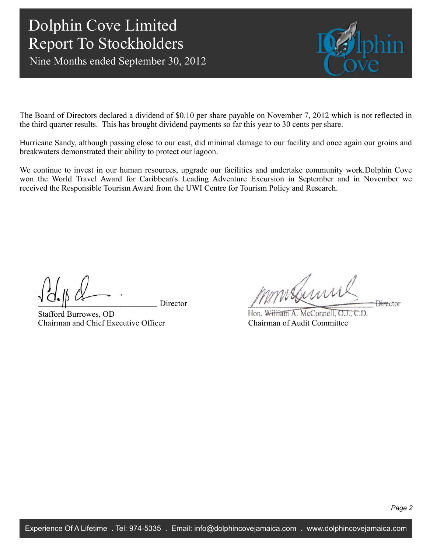Nine Months ended September 30, 2012



The Board of Directors declared a dividend of \$0.10 per share payable on November 7, 2012 which is not reflected in the third quarter results. This has brought dividend payments so far this year to 30 cents per share.

Hurricane Sandy, although passing close to our east, did minimal damage to our facility and once again our groins and breakwaters demonstrated their ability to protect our lagoon.

We continue to invest in our human resources, upgrade our facilities and undertake community work.Dolphin Cove won the World Travel Award for Caribbean's Leading Adventure Excursion in September and in November we received the Responsible Tourism Award from the UWI Centre for Tourism Policy and Research.

Director

Stafford Burrowes, OD Chairman and Chief Executive Officer

mmsduni **Director** 

Hon. William A. McConnell, O.J., C.D. Chairman of Audit Committee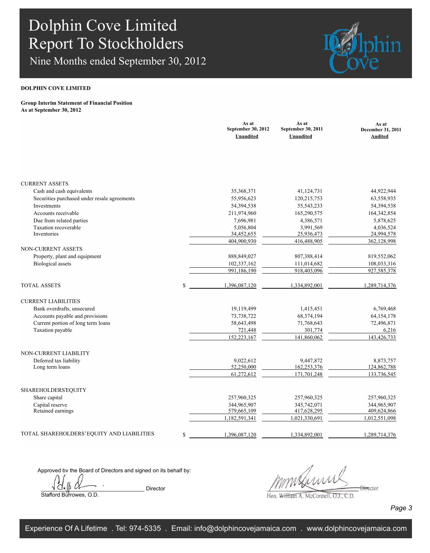Nine Months ended September 30, 2012



#### **DOLPHIN COVE LIMITED**

#### **Group Interim Statement of Financial Position As at September 30, 2012**

|                                              |    | As at<br>September 30, 2012<br>Unaudited | As at<br>September 30, 2011<br>Unaudited | As at<br><b>December 31, 2011</b><br><b>Audited</b> |
|----------------------------------------------|----|------------------------------------------|------------------------------------------|-----------------------------------------------------|
|                                              |    |                                          |                                          |                                                     |
| <b>CURRENT ASSETS</b>                        |    |                                          |                                          |                                                     |
| Cash and cash equivalents                    |    | 35,368,371                               | 41,124,731                               | 44,922,944                                          |
| Securities purchased under resale agreements |    | 55,956,623                               | 120,215,753                              | 63,558,935                                          |
| Investments                                  |    | 54,394,538                               | 55, 543, 233                             | 54,394,538                                          |
| Accounts receivable                          |    | 211,974,960                              | 165,290,575                              | 164,342,854                                         |
| Due from related parties                     |    | 7,696,981                                | 4,386,571                                | 5,878,625                                           |
| Taxation recoverable                         |    | 5,056,804                                | 3,991,569                                | 4,036,524                                           |
| Inventories                                  |    | 34,452,655                               | 25,936,473                               | 24,994,578                                          |
|                                              |    | 404,900,930                              | 416,488,905                              | 362,128,998                                         |
| NON-CURRENT ASSETS                           |    |                                          |                                          |                                                     |
| Property, plant and equipment                |    | 888, 849, 027                            | 807,388,414                              | 819,552,062                                         |
| <b>Biological</b> assets                     |    | 102,337,162                              | 111,014,682                              | 108,033,316                                         |
|                                              |    | 991,186,190                              | 918,403,096                              | 927,585,378                                         |
| <b>TOTAL ASSETS</b>                          | S  | 1,396,087,120                            | 1,334,892,001                            | 1,289,714,376                                       |
| <b>CURRENT LIABILITIES</b>                   |    |                                          |                                          |                                                     |
| Bank overdrafts, unsecured                   |    | 19,119,499                               | 1,415,451                                | 6,769,468                                           |
| Accounts payable and provisions              |    | 73,738,722                               | 68,374,194                               | 64, 154, 178                                        |
| Current portion of long term loans           |    | 58,643,498                               | 71,768,643                               | 72,496,871                                          |
| Taxation payable                             |    | 721,448                                  | 301,774                                  | 6,216                                               |
|                                              |    | 152,223,167                              | 141,860,062                              | 143,426,733                                         |
|                                              |    |                                          |                                          |                                                     |
| NON-CURRENT LIABILITY                        |    |                                          |                                          |                                                     |
| Deferred tax liability<br>Long term loans    |    | 9,022,612<br>52,250,000                  | 9,447,872<br>162,253,376                 | 8,873,757<br>124,862,788                            |
|                                              |    | 61,272,612                               | 171,701,248                              | 133,736,545                                         |
|                                              |    |                                          |                                          |                                                     |
| <b>SHAREHOLDERS EQUITY</b>                   |    |                                          |                                          |                                                     |
| Share capital                                |    | 257,960,325                              | 257,960,325                              | 257,960,325                                         |
| Capital reserve                              |    | 344,965,907                              | 345,742,071                              | 344,965,907                                         |
| Retained earnings                            |    | 579,665,109                              | 417,628,295                              | 409,624,866                                         |
|                                              |    | 1,182,591,341                            | 1,021,330,691                            | 1,012,551,098                                       |
| TOTAL SHAREHOLDERS'EQUITY AND LIABILITIES    | \$ | 1,396,087,120                            | 1,334,892,001                            | 1,289,714,376                                       |

Approved by the Board of Directors and signed on its behalf by:

 $\begin{array}{ccc} \n\bigvee_{i=1}^n & \mathcal{O}_{\bullet} \n\end{array}$  Director Stafford Burrowes, O.D.

 $\frac{1}{2}$ 

Hon. William A. McConnell, O.J., C.D.

*Page 3*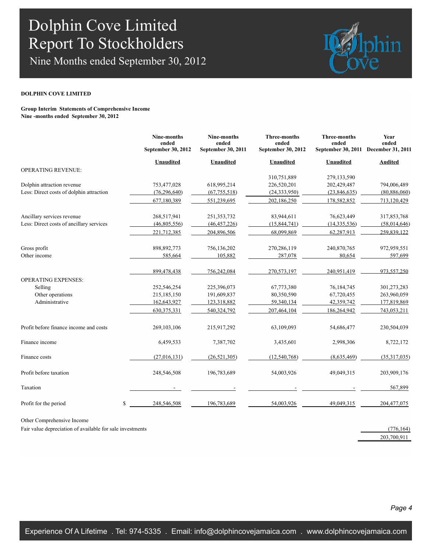Nine Months ended September 30, 2012



#### **DOLPHIN COVE LIMITED**

**Group Interim Statements of Comprehensive Income Nine -months ended September 30, 2012**

|                                          | Nine-months<br>ended<br>September 30, 2012 | <b>Nine-months</b><br>ended<br>September 30, 2011 | <b>Three-months</b><br>ended<br>September 30, 2012 | <b>Three-months</b><br>ended<br>September 30, 2011 | Year<br>ended<br>December 31, 2011 |
|------------------------------------------|--------------------------------------------|---------------------------------------------------|----------------------------------------------------|----------------------------------------------------|------------------------------------|
|                                          | <b>Unaudited</b>                           | Unaudited                                         | Unaudited                                          | Unaudited                                          | <b>Audited</b>                     |
| <b>OPERATING REVENUE:</b>                |                                            |                                                   |                                                    |                                                    |                                    |
|                                          |                                            |                                                   | 310,751,889                                        | 279,133,590                                        |                                    |
| Dolphin attraction revenue               | 753,477,028                                | 618,995,214                                       | 226,520,201                                        | 202,429,487                                        | 794,006,489                        |
| Less: Direct costs of dolphin attraction | (76, 296, 640)                             | (67, 755, 518)                                    | (24, 333, 950)                                     | (23,846,635)                                       | (80, 886, 060)                     |
|                                          | 677,180,389                                | 551,239,695                                       | 202,186,250                                        | 178,582,852                                        | 713,120,429                        |
| Ancillary services revenue               | 268,517,941                                | 251, 353, 732                                     | 83,944,611                                         | 76,623,449                                         | 317,853,768                        |
| Less: Direct costs of ancillary services | (46, 805, 556)                             | (46, 457, 226)                                    | (15, 844, 741)                                     | (14, 335, 536)                                     | (58,014,646)                       |
|                                          | 221,712,385                                | 204,896,506                                       | 68,099,869                                         | 62,287,913                                         | 259.839.122                        |
| Gross profit                             | 898, 892, 773                              | 756,136,202                                       | 270,286,119                                        | 240,870,765                                        | 972,959,551                        |
| Other income                             | 585,664                                    | 105,882                                           | 287,078                                            | 80,654                                             | 597,699                            |
|                                          | 899,478,438                                | 756,242,084                                       | 270,573,197                                        | 240,951,419                                        | 973.557.250                        |
| <b>OPERATING EXPENSES:</b>               |                                            |                                                   |                                                    |                                                    |                                    |
| Selling                                  | 252,546,254                                | 225,396,073                                       | 67,773,380                                         | 76,184,745                                         | 301,273,283                        |
| Other operations                         | 215,185,150                                | 191,609,837                                       | 80,350,590                                         | 67,720,455                                         | 263,960,059                        |
| Administrative                           | 162,643,927                                | 123,318,882                                       | 59,340,134                                         | 42,359,742                                         | 177,819,869                        |
|                                          | 630, 375, 331                              | 540,324,792                                       | 207,464,104                                        | 186,264,942                                        | 743,053,211                        |
| Profit before finance income and costs   | 269, 103, 106                              | 215,917,292                                       | 63,109,093                                         | 54,686,477                                         | 230,504,039                        |
| Finance income                           | 6,459,533                                  | 7,387,702                                         | 3,435,601                                          | 2,998,306                                          | 8,722,172                          |
| Finance costs                            | (27,016,131)                               | (26, 521, 305)                                    | (12,540,768)                                       | (8,635,469)                                        | (35,317,035)                       |
| Profit before taxation                   | 248,546,508                                | 196,783,689                                       | 54,003,926                                         | 49,049,315                                         | 203,909,176                        |
| Taxation                                 |                                            |                                                   |                                                    |                                                    | 567,899                            |
| Profit for the period                    | \$<br>248,546,508                          | 196,783,689                                       | 54,003,926                                         | 49,049,315                                         | 204,477,075                        |

Other Comprehensive Income

Fair value depreciation of available for sale investments (776,164) (776,164)

203,700,911

*Page 4*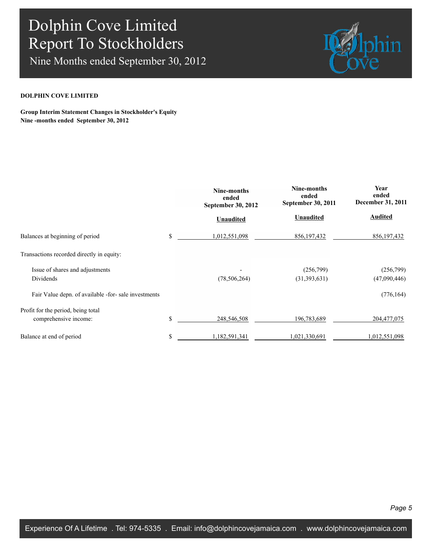Nine Months ended September 30, 2012



### **DOLPHIN COVE LIMITED**

**Group Interim Statement Changes in Stockholder's Equity Nine -months ended September 30, 2012**

|                                                      | Nine-months<br>ended<br><b>September 30, 2012</b> | Nine-months<br>ended<br>September 30, 2011 | Year<br>ended<br>December 31, 2011 |
|------------------------------------------------------|---------------------------------------------------|--------------------------------------------|------------------------------------|
|                                                      | <b>Unaudited</b>                                  | <b>Unaudited</b>                           | <b>Audited</b>                     |
| Balances at beginning of period                      | \$<br>1,012,551,098                               | 856, 197, 432                              | 856, 197, 432                      |
| Transactions recorded directly in equity:            |                                                   |                                            |                                    |
| Issue of shares and adjustments                      |                                                   | (256,799)                                  | (256,799)                          |
| Dividends                                            | (78, 506, 264)                                    | (31,393,631)                               | (47,090,446)                       |
| Fair Value depn. of available -for- sale investments |                                                   |                                            | (776, 164)                         |
| Profit for the period, being total                   |                                                   |                                            |                                    |
| comprehensive income:                                | \$<br>248,546,508                                 | 196,783,689                                | 204, 477, 075                      |
| Balance at end of period                             | \$<br>1,182,591,341                               | 1,021,330,691                              | 1,012,551,098                      |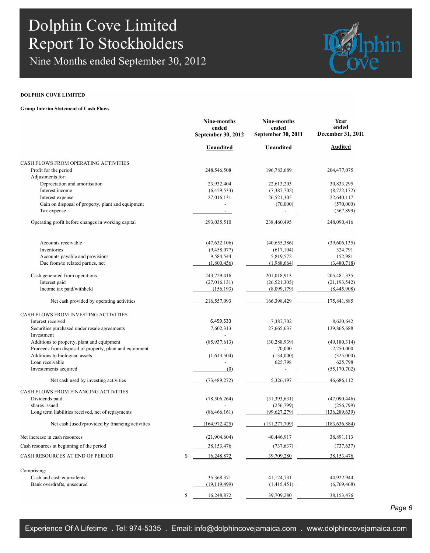Nine Months ended September 30, 2012



### **DOLPHIN COVE LIMITED**

#### **Group Interim Statement of Cash Flows**

|                                                                  | ended<br>September 30, 2012 | ended<br>September 30, 2011 | Year<br>ended<br>December 31, 2011 |  |
|------------------------------------------------------------------|-----------------------------|-----------------------------|------------------------------------|--|
|                                                                  | Unaudited                   | Unaudited                   | Audited                            |  |
| CASH FLOWS FROM OPERATING ACTIVITIES                             |                             |                             |                                    |  |
| Profit for the period<br>Adjustments for:                        | 248,546,508                 | 196,783,689                 | 204, 477, 075                      |  |
| Depreciation and amortisation                                    | 23,932,404                  | 22,613,203                  | 30,833,295                         |  |
| Interest income                                                  | (6,459,533)                 | (7, 387, 702)               | (8, 722, 172)                      |  |
| Interest expense                                                 | 27,016,131                  | 26,521,305                  | 22,640,117                         |  |
| Gain on disposal of property, plant and equipment<br>Tax expense | $\overline{\phantom{0}}$    | (70,000)                    | (570,000)<br>(567, 899)            |  |
| Operating profit before changes in working capital               | 293,035,510                 | 238,460,495                 | 248,090,416                        |  |
| Accounts receivable                                              | (47, 632, 106)              | (40,655,386)                | (39,606,135)                       |  |
| Inventories                                                      | (9,458,077)                 | (617, 104)                  | 324,791                            |  |
| Accounts payable and provisions                                  | 9,584,544                   | 5,819,572                   | 152,981                            |  |
| Due from/to related parties, net                                 | (1,800,456)                 | (1,988,664)                 | (3,480,718)                        |  |
| Cash generated from operations                                   | 243,729,416                 | 201,018,913                 | 205,481,335                        |  |
| Interest paid                                                    | (27,016,131)                | (26, 521, 305)              | (21, 193, 542)                     |  |
| Income tax paid/withheld                                         | (156, 193)                  | (8,099,179)                 | (8,445,908)                        |  |
| Net cash provided by operating activities                        | 216,557,093                 | 166.398.429                 | 175.841.885                        |  |
| <b>CASH FLOWS FROM INVESTING ACTIVITIES</b>                      |                             |                             |                                    |  |
| Interest received                                                | 6,459,533                   | 7,387,702                   | 8,620,642                          |  |
| Securities purchased under resale agreements                     | 7,602,313                   | 27,665,637                  | 139,865,688                        |  |
| Investment                                                       |                             |                             |                                    |  |
| Additions to property, plant and equipment                       | (85, 937, 613)              | (30, 288, 939)              | (49, 180, 314)                     |  |
| Proceeds from disposal of property, plant and equipment          |                             | 70,000                      | 2,250,000                          |  |
| Additions to biological assets                                   | (1,613,504)                 | (134,000)                   | (325,000)                          |  |
| Loan receivable                                                  |                             | 625,798                     | 625,798                            |  |
| Investements acquired                                            | (0)                         |                             | (55, 170, 702)                     |  |
| Net cash used by investing activities                            | (73, 489, 272)              | 5,326,197                   | 46,686,112                         |  |
| CASH FLOWS FROM FINANCING ACTIVITIES                             |                             |                             |                                    |  |
| Dividends paid                                                   | (78, 506, 264)              | (31, 393, 631)              | (47,090,446)                       |  |
| shares issued                                                    |                             | (256,799)                   | (256,799)                          |  |
| Long term liabilities received, net of repayments                | (86, 466, 161)              | (99.627.279)                | (136.289.639)                      |  |
| Net cash (used)/provided by financing activities                 | (164, 972, 425)             | (131, 277, 709)             | (183, 636, 884)                    |  |
| Net increase in cash resources                                   | (21,904,604)                | 40,446,917                  | 38,891,113                         |  |
| Cash resources at beginning of the period                        | 38,153,476                  | (737, 637)                  | (737, 637)                         |  |
| CASH RESOURCES AT END OF PERIOD                                  | \$<br>16,248,872            | 39,709,280                  | 38, 153, 476                       |  |
| Comprising:                                                      |                             |                             |                                    |  |
| Cash and cash equivalents                                        | 35,368,371                  | 41,124,731                  | 44,922,944                         |  |
| Bank overdrafts, unsecured                                       | (19, 119, 499)              | (1,415,451)                 | (6,769,468)                        |  |
|                                                                  | \$<br>16,248,872            | 39,709,280                  | 38,153,476                         |  |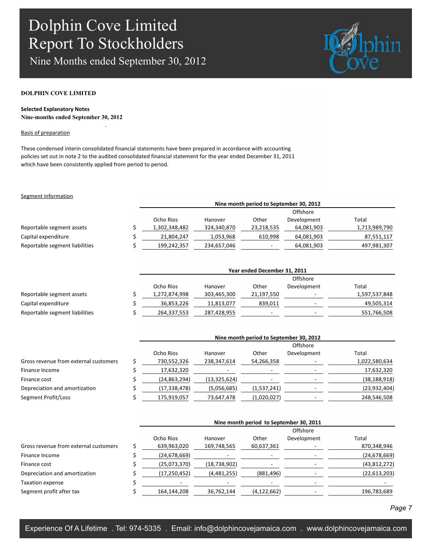.

Nine Months ended September 30, 2012



#### **DOLPHIN COVE LIMITED**

### **Selected Explanatory Notes Nine-months ended September 30, 2012**

#### Basis of preparation

These condensed interin consolidated financial statements have been prepared in accordance with accounting policies set out in note 2 to the audited consolidated financial statement for the year ended December 31, 2011 which have been consistently applied from period to period.

#### Segment information

|                                | Nine month period to September 30, 2012 |             |                          |             |               |  |  |
|--------------------------------|-----------------------------------------|-------------|--------------------------|-------------|---------------|--|--|
|                                | Offshore                                |             |                          |             |               |  |  |
|                                | Ocho Rios                               | Hanover     | Other                    | Development | Total         |  |  |
| Reportable segment assets      | 1,302,348,482                           | 324,340,870 | 23,218,535               | 64,081,903  | 1,713,989,790 |  |  |
| Capital expenditure            | 21,804,247                              | 1,053,968   | 610,998                  | 64,081,903  | 87,551,117    |  |  |
| Reportable segment liabilities | 199,242,357                             | 234,657,046 | $\overline{\phantom{a}}$ | 64,081,903  | 497,981,307   |  |  |

|                                | Year ended December 31, 2011 |             |            |             |               |  |  |
|--------------------------------|------------------------------|-------------|------------|-------------|---------------|--|--|
|                                |                              | Offshore    |            |             |               |  |  |
|                                | Ocho Rios                    | Hanover     | Other      | Development | Total         |  |  |
| Reportable segment assets      | 1,272,874,998                | 303,465,300 | 21,197,550 |             | 1,597,537,848 |  |  |
| Capital expenditure            | 36,853,226                   | 11,813,077  | 839,011    |             | 49,505,314    |  |  |
| Reportable segment liabilities | 264,337,553                  | 287,428,955 |            |             | 551,766,508   |  |  |

|                                       | Nine month period to September 30, 2012 |                |                          |             |                |  |  |
|---------------------------------------|-----------------------------------------|----------------|--------------------------|-------------|----------------|--|--|
|                                       |                                         | Offshore       |                          |             |                |  |  |
|                                       | Ocho Rios                               | Hanover        | Other                    | Development | Total          |  |  |
| Gross revenue from external customers | 730,552,326                             | 238,347,614    | 54,266,358               |             | 1,022,580,634  |  |  |
| Finance Income                        | 17,632,320                              |                | $\overline{\phantom{0}}$ |             | 17,632,320     |  |  |
| Finance cost                          | (24, 863, 294)                          | (13, 325, 624) |                          |             | (38, 188, 918) |  |  |
| Depreciation and amortization         | (17, 338, 478)                          | (5,056,685)    | (1,537,241)              |             | (23, 932, 404) |  |  |
| Segment Profit/Loss                   | 175,919,057                             | 73,647,478     | (1,020,027)              |             | 248,546,508    |  |  |

|                                       | Nine month period to September 30, 2011 |                |               |             |                |  |
|---------------------------------------|-----------------------------------------|----------------|---------------|-------------|----------------|--|
|                                       |                                         |                |               | Offshore    |                |  |
|                                       | Ocho Rios                               | Hanover        | Other         | Development | Total          |  |
| Gross revenue from external customers | 639,963,020                             | 169,748,565    | 60,637,361    |             | 870,348,946    |  |
| Finance Income                        | (24, 678, 669)                          | ۰              | . .           |             | (24, 678, 669) |  |
| Finance cost                          | (25,073,370)                            | (18, 738, 902) |               |             | (43,812,272)   |  |
| Depreciation and amortization         | (17, 250, 452)                          | (4,481,255)    | (881, 496)    |             | (22, 613, 203) |  |
| Taxation expense                      |                                         |                |               |             |                |  |
| Segment profit after tax              | 164,144,208                             | 36,762,144     | (4, 122, 662) |             | 196,783,689    |  |

#### *Page 7*